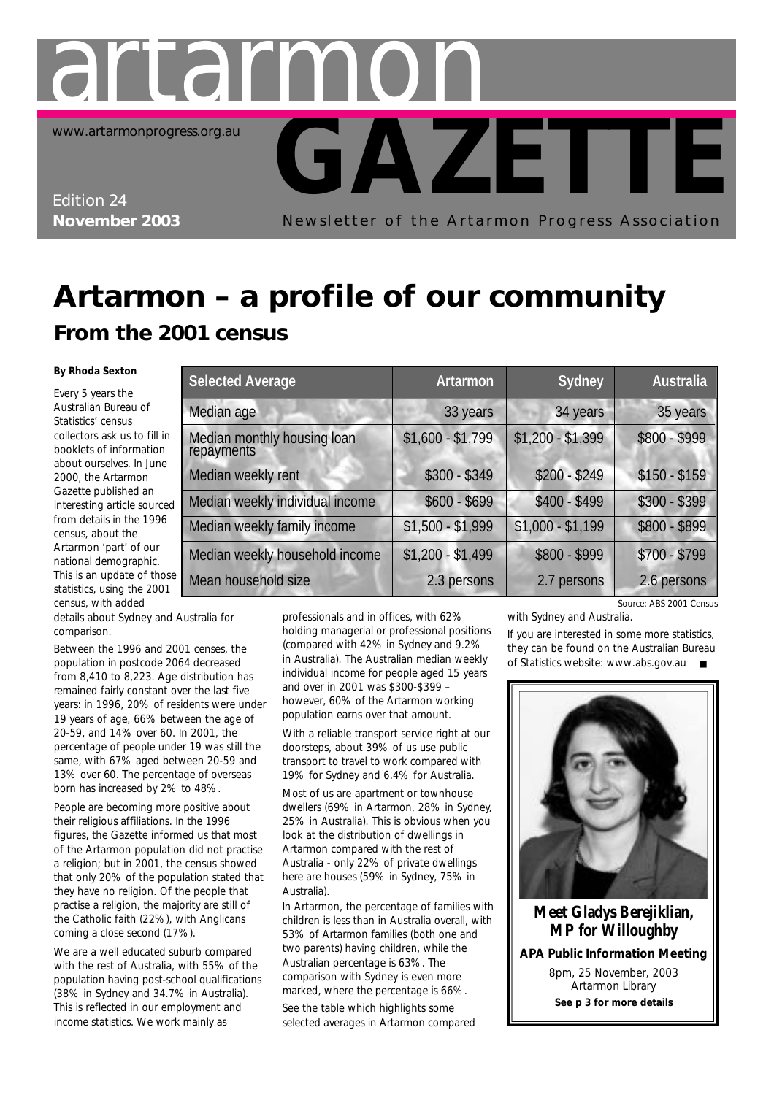

www.artarmonprogress.org.au

Edition 24 **November 2003**

Newsletter of the Artarmon Progress Association

**GAZETTE**

### **Artarmon – a profile of our community From the 2001 census**

#### **By Rhoda Sexton**

*Every 5 years the Australian Bureau of Statistics' census collectors ask us to fill in booklets of information about ourselves. In June 2000, the Artarmon Gazette published an interesting article sourced from details in the 1996 census, about the Artarmon 'part' of our national demographic. This is an update of those statistics, using the 2001 census, with added*

| .<br>details about Sydney and Australia for |  |
|---------------------------------------------|--|
| comparison.                                 |  |

repayments

Between the 1996 and 2001 censes, th population in postcode 2064 decreased from 8,410 to 8,223. Age distribution has remained fairly constant over the last five years: in 1996, 20% of residents were under 19 years of age, 66% between the age of 20-59, and 14% over 60. In 2001, the percentage of people under 19 was still the same, with 67% aged between 20-59 and 13% over 60. The percentage of overseas born has increased by 2% to 48%.

People are becoming more positive about their religious affiliations. In the 1996 figures, the Gazette informed us that most of the Artarmon population did not practise a religion; but in 2001, the census showed that only 20% of the population stated that they have no religion. Of the people that practise a religion, the majority are still of the Catholic faith (22%), with Anglicans coming a close second (17%).

We are a well educated suburb compared with the rest of Australia, with 55% of the population having post-school qualifications (38% in Sydney and 34.7% in Australia). This is reflected in our employment and income statistics. We work mainly as

|                     | Median weekly individual income                                                       | $$600 - $699$     | $$400 - $499$                                                                              | $$300 - $399$         |
|---------------------|---------------------------------------------------------------------------------------|-------------------|--------------------------------------------------------------------------------------------|-----------------------|
|                     | Median weekly family income                                                           | $$1,500 - $1,999$ | $$1,000 - $1,199$                                                                          | $$800 - $899$         |
|                     | Median weekly household income                                                        | $$1,200 - $1,499$ | \$800 - \$999                                                                              | $$700 - $799$         |
| Mean household size |                                                                                       | 2.3 persons       | 2.7 persons                                                                                | 2.6 persons           |
|                     |                                                                                       |                   |                                                                                            | Source: ABS 2001 Cens |
| istralia for        | professionals and in offices, with 62%                                                |                   | with Sydney and Australia.                                                                 |                       |
| I censes, the       | holding managerial or professional positions<br>(compared with 42% in Sydney and 9.2% |                   | If you are interested in some more statistics<br>they can be found on the Australian Burea |                       |

Median age 33 years 33 years 34 years 34 years 35 years Median monthly housing loan \$1,600 - \$1,799 \$1,200 - \$1,399 \$800 - \$999

**Selected Average Artarmon Sydney Australia**

Median weekly rent  $$300 - $349$  \$200 - \$249 \$150 - \$159

in Australia). The Australian median weekly individual income for people aged 15 years and over in 2001 was \$300-\$399 – however, 60% of the Artarmon working population earns over that amount.

With a reliable transport service right at our doorsteps, about 39% of us use public transport to travel to work compared with 19% for Sydney and 6.4% for Australia.

Most of us are apartment or townhouse dwellers (69% in Artarmon, 28% in Sydney, 25% in Australia). This is obvious when you look at the distribution of dwellings in Artarmon compared with the rest of Australia - only 22% of private dwellings here are houses (59% in Sydney, 75% in Australia).

In Artarmon, the percentage of families with children is less than in Australia overall, with 53% of Artarmon families (both one and two parents) having children, while the Australian percentage is 63%. The comparison with Sydney is even more marked, where the percentage is 66%. See the table which highlights some selected averages in Artarmon compared

tralia *Source: ABS 2001 Census*

n some more statistics, the Australian Bureau of Statistics website: www.abs.gov.au ■



**Meet Gladys Berejiklian, MP for Willoughby**

**APA Public Information Meeting**

8pm, 25 November, 2003 Artarmon Library **See p 3 for more details**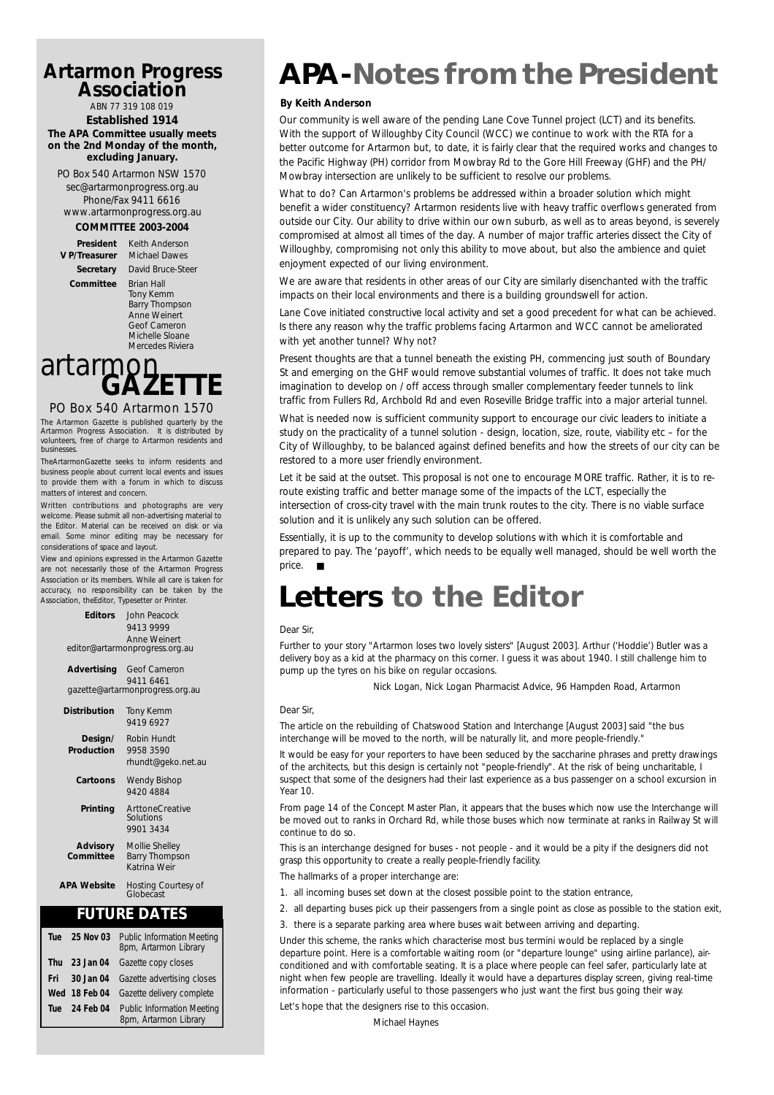#### **Artarmon Progress Association**

ABN 77 319 108 019 **Established 1914 The APA Committee usually meets on the 2nd Monday of the month, excluding January.**

PO Box 540 Artarmon NSW 1570 sec@artarmonprogress.org.au Phone/Fax 9411 6616 www.artarmonprogress.org.au

#### **COMMITTEE 2003-2004**

**President** Keith Anderson

**V P/Treasurer** Michael Dawes **Secretary** David Bruce-Steer **Committee** Brian Hall Tony Kemm Barry Thompson Anne Weinert Geof Cameron Michelle Sloane Mercedes Riviera

# artarmon<sub>ET</sub>

#### PO Box 540 Artarmon 1570

The Artarmon Gazette is published quarterly by the Artarmon Progress Association. It is distributed by volunteers, free of charge to Artarmon residents and businesses.

TheArtarmonGazette seeks to inform residents and business people about current local events and issues to provide them with a forum in which to discuss matters of interest and concern.

Written contributions and photographs are very welcome. Please submit all non-advertising material to the Editor. Material can be received on disk or via email. Some minor editing may be necessary for considerations of space and layout.

View and opinions expressed in the Artarmon Gazette are not necessarily those of the Artarmon Progress Association or its members. While all care is taken for accuracy, no responsibility can be taken by the Association, theEditor, Typesetter or Printer.

> **Editors** John Peacock 9413 9999 Anne Weinert editor@artarmonprogress.org.au

**Advertising** Geof Cameron 9411 6461 gazette@artarmonprogress.org.au

| Distribution                 | Tony Kemm<br>9419 6927                                  |
|------------------------------|---------------------------------------------------------|
| Design/<br>Production        | Robin Hundt<br>9958 3590<br>rhundt@geko.net.au          |
| Cartoons                     | Wendy Bishop<br>9420 4884                               |
| Printing                     | ArttoneCreative<br>Solutions<br>9901 3434               |
| <b>Advisory</b><br>Committee | Mollie Shelley<br><b>Barry Thompson</b><br>Katrina Weir |
| <b>APA Website</b>           | Hosting Courtesy of<br>Globecast                        |

#### **FUTURE DATES**

| Tue        | 25 Nov 03     | <b>Public Information Meeting</b><br>8pm, Artarmon Library |
|------------|---------------|------------------------------------------------------------|
| <b>Thu</b> |               | 23 Jan 04 Gazette copy closes                              |
| Fri.       |               | 30 Jan 04 Gazette advertising closes                       |
|            | Wed 18 Feb 04 | Gazette delivery complete                                  |
| <b>Tue</b> | 24 Feb 04     | <b>Public Information Meeting</b><br>8pm, Artarmon Library |

### **APA-Notes from the President**

#### **By Keith Anderson**

Our community is well aware of the pending Lane Cove Tunnel project (LCT) and its benefits. With the support of Willoughby City Council (WCC) we continue to work with the RTA for a better outcome for Artarmon but, to date, it is fairly clear that the required works and changes to the Pacific Highway (PH) corridor from Mowbray Rd to the Gore Hill Freeway (GHF) and the PH/ Mowbray intersection are unlikely to be sufficient to resolve our problems.

What to do? Can Artarmon's problems be addressed within a broader solution which might benefit a wider constituency? Artarmon residents live with heavy traffic overflows generated from outside our City. Our ability to drive within our own suburb, as well as to areas beyond, is severely compromised at almost all times of the day. A number of major traffic arteries dissect the City of Willoughby, compromising not only this ability to move about, but also the ambience and quiet enjoyment expected of our living environment.

We are aware that residents in other areas of our City are similarly disenchanted with the traffic impacts on their local environments and there is a building groundswell for action.

Lane Cove initiated constructive local activity and set a good precedent for what can be achieved. Is there any reason why the traffic problems facing Artarmon and WCC cannot be ameliorated with yet another tunnel? Why not?

Present thoughts are that a tunnel beneath the existing PH, commencing just south of Boundary St and emerging on the GHF would remove substantial volumes of traffic. It does not take much imagination to develop on / off access through smaller complementary feeder tunnels to link traffic from Fullers Rd, Archbold Rd and even Roseville Bridge traffic into a major arterial tunnel.

What is needed now is sufficient community support to encourage our civic leaders to initiate a study on the practicality of a tunnel solution - design, location, size, route, viability etc – for the City of Willoughby, to be balanced against defined benefits and how the streets of our city can be restored to a more user friendly environment.

Let it be said at the outset. This proposal is not one to encourage MORE traffic. Rather, it is to reroute existing traffic and better manage some of the impacts of the LCT, especially the intersection of cross-city travel with the main trunk routes to the city. There is no viable surface solution and it is unlikely any such solution can be offered.

Essentially, it is up to the community to develop solutions with which it is comfortable and prepared to pay. The 'payoff', which needs to be equally well managed, should be well worth the price. ■

### **Letters to the Editor**

#### *Dear Sir,*

*Further to your story "Artarmon loses two lovely sisters" [August 2003]. Arthur ('Hoddie') Butler was a delivery boy as a kid at the pharmacy on this corner. I guess it was about 1940. I still challenge him to pump up the tyres on his bike on regular occasions.*

*Nick Logan, Nick Logan Pharmacist Advice, 96 Hampden Road, Artarmon*

#### *Dear Sir,*

*The article on the rebuilding of Chatswood Station and Interchange [August 2003] said "the bus interchange will be moved to the north, will be naturally lit, and more people-friendly."*

*It would be easy for your reporters to have been seduced by the saccharine phrases and pretty drawings of the architects, but this design is certainly not "people-friendly". At the risk of being uncharitable, I suspect that some of the designers had their last experience as a bus passenger on a school excursion in Year 10.*

*From page 14 of the Concept Master Plan, it appears that the buses which now use the Interchange will* be moved out to ranks in Orchard Rd, while those buses which now terminate at ranks in Railway St will *continue to do so.*

*This is an interchange designed for buses - not people - and it would be a pity if the designers did not grasp this opportunity to create a really people-friendly facility.*

*The hallmarks of a proper interchange are:*

- *1. all incoming buses set down at the closest possible point to the station entrance,*
- *2. all departing buses pick up their passengers from a single point as close as possible to the station exit,*
- *3. there is a separate parking area where buses wait between arriving and departing.*

*Under this scheme, the ranks which characterise most bus termini would be replaced by a single departure point. Here is a comfortable waiting room (or "departure lounge" using airline parlance), airconditioned and with comfortable seating. It is a place where people can feel safer, particularly late at night when few people are travelling. Ideally it would have a departures display screen, giving real-time information - particularly useful to those passengers who just want the first bus going their way.*

*Let's hope that the designers rise to this occasion.*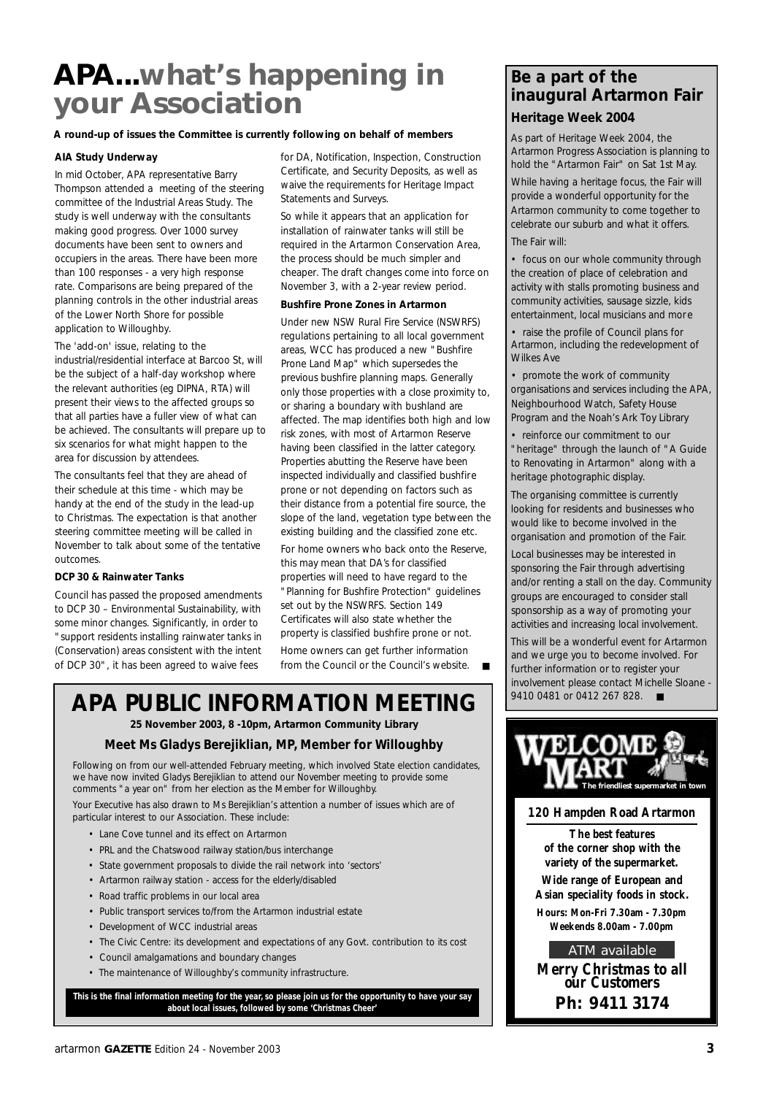### **APA...what's happening in your Association**

#### **A round-up of issues the Committee is currently following on behalf of members**

#### **AIA Study Underway**

In mid October, APA representative Barry Thompson attended a meeting of the steering committee of the Industrial Areas Study. The study is well underway with the consultants making good progress. Over 1000 survey documents have been sent to owners and occupiers in the areas. There have been more than 100 responses - a very high response rate. Comparisons are being prepared of the planning controls in the other industrial areas of the Lower North Shore for possible application to Willoughby.

The 'add-on' issue, relating to the industrial/residential interface at Barcoo St, will be the subject of a half-day workshop where the relevant authorities (eg DIPNA, RTA) will present their views to the affected groups so that all parties have a fuller view of what can be achieved. The consultants will prepare up to six scenarios for what might happen to the area for discussion by attendees.

The consultants feel that they are ahead of their schedule at this time - which may be handy at the end of the study in the lead-up to Christmas. The expectation is that another steering committee meeting will be called in November to talk about some of the tentative outcomes.

#### **DCP 30 & Rainwater Tanks**

Council has passed the proposed amendments to DCP 30 – Environmental Sustainability, with some minor changes. Significantly, in order to "support residents installing rainwater tanks in (Conservation) areas consistent with the intent of DCP 30", it has been agreed to waive fees

for DA, Notification, Inspection, Construction Certificate, and Security Deposits, as well as waive the requirements for Heritage Impact Statements and Surveys.

So while it appears that an application for installation of rainwater tanks will still be required in the Artarmon Conservation Area, the process should be much simpler and cheaper. The draft changes come into force on November 3, with a 2-year review period.

#### **Bushfire Prone Zones in Artarmon**

Under new NSW Rural Fire Service (NSWRFS) regulations pertaining to all local government areas, WCC has produced a new "Bushfire Prone Land Map" which supersedes the previous bushfire planning maps. Generally only those properties with a close proximity to, or sharing a boundary with bushland are affected. The map identifies both high and low risk zones, with most of Artarmon Reserve having been classified in the latter category. Properties abutting the Reserve have been inspected individually and classified bushfire prone or not depending on factors such as their distance from a potential fire source, the slope of the land, vegetation type between the existing building and the classified zone etc.

For home owners who back onto the Reserve, this may mean that DA's for classified properties will need to have regard to the "Planning for Bushfire Protection" guidelines set out by the NSWRFS. Section 149 Certificates will also state whether the property is classified bushfire prone or not.

Home owners can get further information from the Council or the Council's website.

### **APA PUBLIC INFORMATION MEETING**

**25 November 2003, 8 -10pm, Artarmon Community Library**

#### **Meet Ms Gladys Berejiklian, MP, Member for Willoughby**

Following on from our well-attended February meeting, which involved State election candidates, we have now invited Gladys Berejiklian to attend our November meeting to provide some comments "a year on" from her election as the Member for Willoughby.

Your Executive has also drawn to Ms Berejiklian's attention a number of issues which are of particular interest to our Association. These include:

- Lane Cove tunnel and its effect on Artarmon
- PRL and the Chatswood railway station/bus interchange
- State government proposals to divide the rail network into 'sectors'
- Artarmon railway station access for the elderly/disabled
- Road traffic problems in our local area
- Public transport services to/from the Artarmon industrial estate
- Development of WCC industrial areas
- The Civic Centre: its development and expectations of any Govt. contribution to its cost
- Council amalgamations and boundary changes
- The maintenance of Willoughby's community infrastructure.

**This is the final information meeting for the year, so please join us for the opportunity to have your say about local issues, followed by some 'Christmas Cheer'**

#### **Be a part of the inaugural Artarmon Fair Heritage Week 2004**

As part of Heritage Week 2004, the Artarmon Progress Association is planning to hold the "Artarmon Fair" on Sat 1st May.

While having a heritage focus, the Fair will provide a wonderful opportunity for the Artarmon community to come together to celebrate our suburb and what it offers.

The Fair will:

• focus on our whole community through the creation of place of celebration and activity with stalls promoting business and community activities, sausage sizzle, kids entertainment, local musicians and more

• raise the profile of Council plans for Artarmon, including the redevelopment of Wilkes Ave

• promote the work of community organisations and services including the APA, Neighbourhood Watch, Safety House Program and the Noah's Ark Toy Library

• reinforce our commitment to our "heritage" through the launch of "A Guide to Renovating in Artarmon" along with a heritage photographic display.

The organising committee is currently looking for residents and businesses who would like to become involved in the organisation and promotion of the Fair.

Local businesses may be interested in sponsoring the Fair through advertising and/or renting a stall on the day. Community groups are encouraged to consider stall sponsorship as a way of promoting your activities and increasing local involvement.

This will be a wonderful event for Artarmon and we urge you to become involved. For further information or to register your involvement please contact Michelle Sloane - 9410 0481 or 0412 267 828. ■



#### **120 Hampden Road Artarmon**

**The best features of the corner shop with the variety of the supermarket. Wide range of European and Asian speciality foods in stock. Hours: Mon-Fri 7.30am - 7.30pm**

**Weekends 8.00am - 7.00pm**

ATM available

*Merry Christmas to all our Customers* **P h : 9411 3174**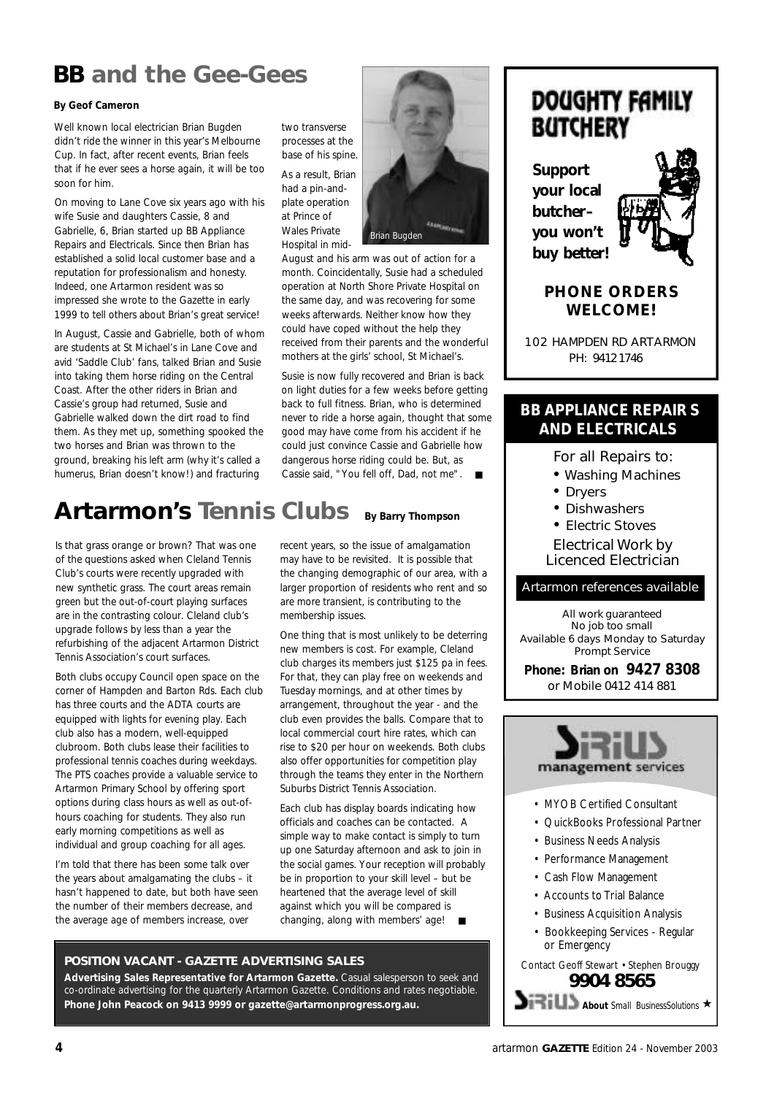### **BB and the Gee-Gees**

#### **By Geof Cameron**

Well known local electrician Brian Bugden didn't ride the winner in this year's Melbourne Cup. In fact, after recent events, Brian feels that if he ever sees a horse again, it will be too soon for him.

On moving to Lane Cove six years ago with his wife Susie and daughters Cassie, 8 and Gabrielle, 6, Brian started up BB Appliance Repairs and Electricals. Since then Brian has established a solid local customer base and a reputation for professionalism and honesty. Indeed, one Artarmon resident was so impressed she wrote to the Gazette in early 1999 to tell others about Brian's great service!

In August, Cassie and Gabrielle, both of whom are students at St Michael's in Lane Cove and avid 'Saddle Club' fans, talked Brian and Susie into taking them horse riding on the Central Coast. After the other riders in Brian and Cassie's group had returned, Susie and Gabrielle walked down the dirt road to find them. As they met up, something spooked the two horses and Brian was thrown to the ground, breaking his left arm (why it's called a humerus, Brian doesn't know!) and fracturing

two transverse processes at the base of his spine.

As a result, Brian had a pin-andplate operation at Prince of Wales Private Hospital in mid-



August and his arm was out of action for a month. Coincidentally, Susie had a scheduled operation at North Shore Private Hospital on the same day, and was recovering for some weeks afterwards. Neither know how they could have coped without the help they received from their parents and the wonderful mothers at the girls' school, St Michael's.

Susie is now fully recovered and Brian is back on light duties for a few weeks before getting back to full fitness. Brian, who is determined never to ride a horse again, thought that some good may have come from his accident if he could just convince Cassie and Gabrielle how dangerous horse riding could be. But, as Cassie said, "You fell off, Dad, not me". ■

#### **Artarmon's Tennis Clubs By Barry Thompson**

Is that grass orange or brown? That was one of the questions asked when Cleland Tennis Club's courts were recently upgraded with new synthetic grass. The court areas remain green but the out-of-court playing surfaces are in the contrasting colour. Cleland club's upgrade follows by less than a year the refurbishing of the adjacent Artarmon District Tennis Association's court surfaces.

Both clubs occupy Council open space on the corner of Hampden and Barton Rds. Each club has three courts and the ADTA courts are equipped with lights for evening play. Each club also has a modern, well-equipped clubroom. Both clubs lease their facilities to professional tennis coaches during weekdays. The PTS coaches provide a valuable service to Artarmon Primary School by offering sport options during class hours as well as out-ofhours coaching for students. They also run early morning competitions as well as individual and group coaching for all ages.

I'm told that there has been some talk over the years about amalgamating the clubs – it hasn't happened to date, but both have seen the number of their members decrease, and the average age of members increase, over

recent years, so the issue of amalgamation may have to be revisited. It is possible that the changing demographic of our area, with a larger proportion of residents who rent and so are more transient, is contributing to the membership issues.

One thing that is most unlikely to be deterring new members is cost. For example, Cleland club charges its members just \$125 pa in fees. For that, they can play free on weekends and Tuesday mornings, and at other times by arrangement, throughout the year - and the club even provides the balls. Compare that to local commercial court hire rates, which can rise to \$20 per hour on weekends. Both clubs also offer opportunities for competition play through the teams they enter in the Northern Suburbs District Tennis Association.

Each club has display boards indicating how officials and coaches can be contacted. A simple way to make contact is simply to turn up one Saturday afternoon and ask to join in the social games. Your reception will probably be in proportion to your skill level – but be heartened that the average level of skill against which you will be compared is changing, along with members' age! ■

#### **POSITION VACANT - GAZETTE ADVERTISING SALES**

**Advertising Sales Representative for Artarmon Gazette.** Casual salesperson to seek and co-ordinate advertising for the quarterly Artarmon Gazette. Conditions and rates negotiable. **Phone John Peacock on 9413 9999 or gazette@artarmonprogress.org.au.**

### DOUGHTY FAMILY **BUTCHERY**

**Support your local butcher– you won't buy better!**



#### **PHONE ORDERS WELCOME!**

102 HAMPDEN RD ARTARMON PH: 9412 1746

#### **BB APPLIANCE REPAIR S AND ELECTRICALS**

- For all Repairs to:
- Washing Machines
- Dryers
- Dishwashers
- Electric Stoves

Electrical Work by Licenced Electrician

#### Artarmon references available

*All work guaranteed No job too small Available 6 days Monday to Saturday Prompt Service*

**Phone: Brian on 9427 8308** or Mobile 0412 414 881



- MYOB Certified Consultant
- QuickBooks Professional Partner
- Business Needs Analysis
- Performance Management
- Cash Flow Management
- Accounts to Trial Balance
- Business Acquisition Analysis
- Bookkeeping Services Regular or Emergency

#### Contact Geoff Stewart • Stephen Brouggy **9904 8565**

*About Small BusinessSolutions* ★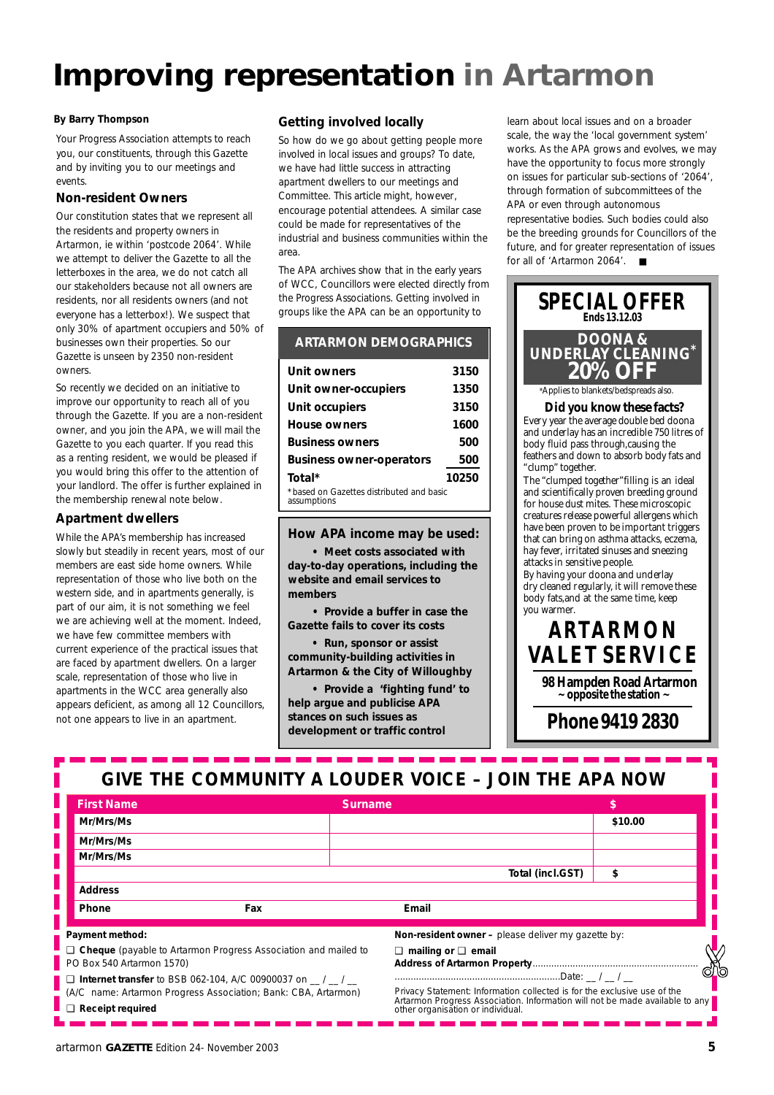## **Improving representation in Artarmon**

Your Progress Association attempts to reach you, our constituents, through this Gazette and by inviting you to our meetings and events.

#### **Non-resident Owners**

Our constitution states that we represent all the residents and property owners in Artarmon, ie within 'postcode 2064'. While we attempt to deliver the Gazette to all the letterboxes in the area, we do not catch all our stakeholders because not all owners are residents, nor all residents owners (and not everyone has a letterbox!). We suspect that only 30% of apartment occupiers and 50% of businesses own their properties. So our Gazette is unseen by 2350 non-resident owners.

So recently we decided on an initiative to improve our opportunity to reach all of you through the Gazette. If you are a non-resident owner, and you join the APA, we will mail the Gazette to you each quarter. If you read this as a renting resident, we would be pleased if you would bring this offer to the attention of your landlord. The offer is further explained in the membership renewal note below.

#### **Apartment dwellers**

While the APA's membership has increased slowly but steadily in recent years, most of our members are east side home owners. While representation of those who live both on the western side, and in apartments generally, is part of our aim, it is not something we feel we are achieving well at the moment. Indeed, we have few committee members with current experience of the practical issues that are faced by apartment dwellers. On a larger scale, representation of those who live in apartments in the WCC area generally also appears deficient, as among all 12 Councillors, not one appears to live in an apartment.

#### **By Barry Thompson Getting involved locally**

So how do we go about getting people more involved in local issues and groups? To date, we have had little success in attracting apartment dwellers to our meetings and Committee. This article might, however, encourage potential attendees. A similar case could be made for representatives of the industrial and business communities within the area.

The APA archives show that in the early years of WCC, Councillors were elected directly from the Progress Associations. Getting involved in groups like the APA can be an opportunity to

| <b>ARTARMON DEMOGRAPHICS</b>                            |       |
|---------------------------------------------------------|-------|
| Unit owners                                             | 3150  |
| Unit owner-occupiers                                    | 1350  |
| Unit occupiers                                          | 3150  |
| House owners                                            | 1600  |
| <b>Business owners</b>                                  | 500   |
| <b>Business owner-operators</b>                         | 500   |
| Total*                                                  | 10250 |
| *based on Gazettes distributed and basic<br>assumptions |       |
|                                                         |       |

**How APA income may be used:**

**• Meet costs associated with day-to-day operations, including the website and email services to members**

**• Provide a buffer in case the Gazette fails to cover its costs**

**• Run, sponsor or assist community-building activities in Artarmon & the City of Willoughby**

**• Provide a 'fighting fund' to help argue and publicise APA stances on such issues as development or traffic control**

learn about local issues and on a broader scale, the way the 'local government system' works. As the APA grows and evolves, we may have the opportunity to focus more strongly on issues for particular sub-sections of '2064', through formation of subcommittees of the APA or even through autonomous representative bodies. Such bodies could also be the breeding grounds for Councillors of the future, and for greater representation of issues for all of 'Artarmon 2064'. ■



### **GIVE THE COMMUNITY A LOUDER VOICE – JOIN THE APA NOW**

a ang pag-pag-p

| <b>First Name</b>         |                                                                                                                                | Surname                                                                                                                                                                                       |         |             |
|---------------------------|--------------------------------------------------------------------------------------------------------------------------------|-----------------------------------------------------------------------------------------------------------------------------------------------------------------------------------------------|---------|-------------|
| Mr/Mrs/Ms                 |                                                                                                                                |                                                                                                                                                                                               | \$10.00 |             |
| Mr/Mrs/Ms                 |                                                                                                                                |                                                                                                                                                                                               |         |             |
| Mr/Mrs/Ms                 |                                                                                                                                |                                                                                                                                                                                               |         |             |
|                           |                                                                                                                                | Total (incl.GST)                                                                                                                                                                              | \$      |             |
| <b>Address</b>            |                                                                                                                                |                                                                                                                                                                                               |         |             |
| Phone                     | Fax                                                                                                                            | Email                                                                                                                                                                                         |         |             |
| Payment method:           |                                                                                                                                | Non-resident owner - please deliver my gazette by:                                                                                                                                            |         |             |
| PO Box 540 Artarmon 1570) | □ Cheque (payable to Artarmon Progress Association and mailed to                                                               | $\Box$ mailing or $\Box$ email                                                                                                                                                                |         | <u>රෝ</u> ත |
| $\Box$ Receipt required   | $\Box$ Internet transfer to BSB 062-104, A/C 00900037 on / /<br>(A/C name: Artarmon Progress Association; Bank: CBA, Artarmon) | Privacy Statement: Information collected is for the exclusive use of the<br>Artarmon Progress Association. Information will not be made available to any<br>other organisation or individual. |         |             |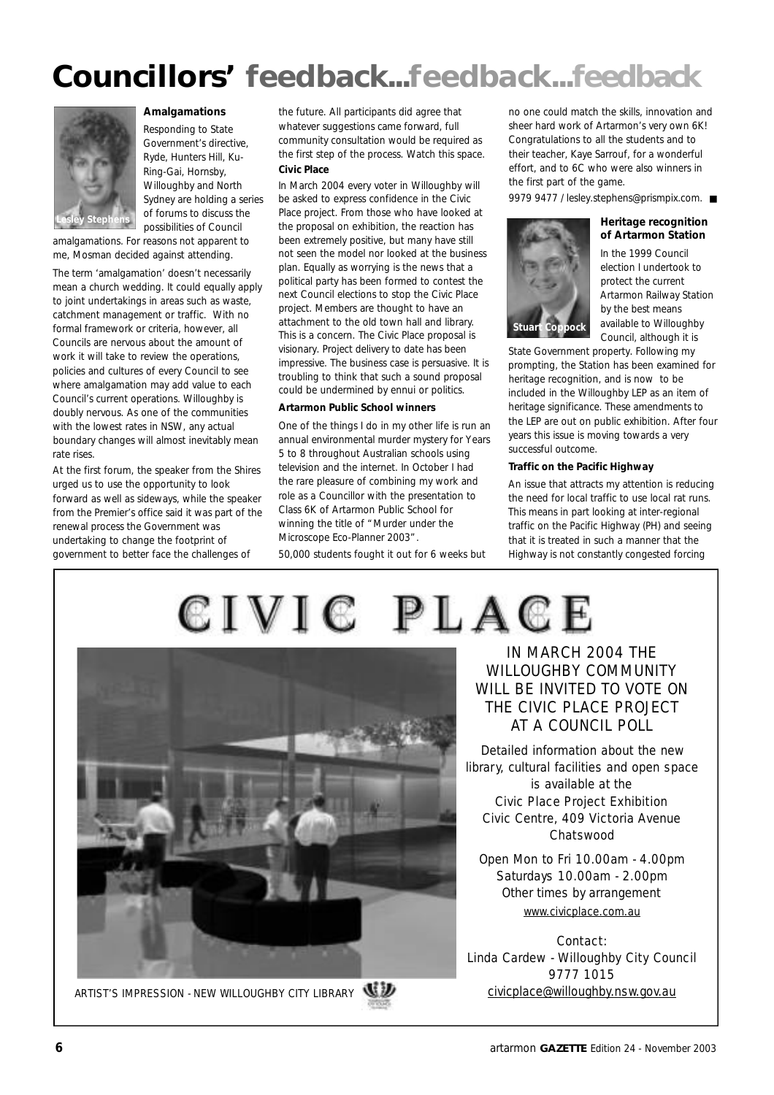## Councillors' feedback...feedback...feedback



#### **Amalgamations**

Responding to State Government's directive, Ryde, Hunters Hill, Ku-Ring-Gai, Hornsby, Willoughby and North Sydney are holding a series of forums to discuss the possibilities of Council

amalgamations. For reasons not apparent to me, Mosman decided against attending.

The term 'amalgamation' doesn't necessarily mean a church wedding. It could equally apply to joint undertakings in areas such as waste, catchment management or traffic. With no formal framework or criteria, however, all Councils are nervous about the amount of work it will take to review the operations, policies and cultures of every Council to see where amalgamation may add value to each Council's current operations. Willoughby is doubly nervous. As one of the communities with the lowest rates in NSW, any actual boundary changes will almost inevitably mean rate rises.

At the first forum, the speaker from the Shires urged us to use the opportunity to look forward as well as sideways, while the speaker from the Premier's office said it was part of the renewal process the Government was undertaking to change the footprint of government to better face the challenges of

the future. All participants did agree that whatever suggestions came forward, full community consultation would be required as the first step of the process. Watch this space. **Civic Place**

In March 2004 every voter in Willoughby will be asked to express confidence in the Civic Place project. From those who have looked at the proposal on exhibition, the reaction has been extremely positive, but many have still not seen the model nor looked at the business plan. Equally as worrying is the news that a political party has been formed to contest the next Council elections to stop the Civic Place project. Members are thought to have an attachment to the old town hall and library. This is a concern. The Civic Place proposal is visionary. Project delivery to date has been impressive. The business case is persuasive. It is troubling to think that such a sound proposal could be undermined by ennui or politics.

#### **Artarmon Public School winners**

One of the things I do in my other life is run an annual environmental murder mystery for Years 5 to 8 throughout Australian schools using television and the internet. In October I had the rare pleasure of combining my work and role as a Councillor with the presentation to Class 6K of Artarmon Public School for winning the title of "Murder under the Microscope Eco-Planner 2003".

50,000 students fought it out for 6 weeks but

no one could match the skills, innovation and sheer hard work of Artarmon's very own 6K! Congratulations to all the students and to their teacher, Kaye Sarrouf, for a wonderful effort, and to 6C who were also winners in the first part of the game.

9979 9477 / lesley.stephens@prismpix.com. ■

#### **Heritage recognition of Artarmon Station**

In the 1999 Council election I undertook to protect the current Artarmon Railway Station by the best means available to Willoughby Council, although it is

State Government property. Following my prompting, the Station has been examined for heritage recognition, and is now to be included in the Willoughby LEP as an item of heritage significance. These amendments to the LEP are out on public exhibition. After four years this issue is moving towards a very successful outcome.

#### **Traffic on the Pacific Highway**

**Sock** 

An issue that attracts my attention is reducing the need for local traffic to use local rat runs. This means in part looking at inter-regional traffic on the Pacific Highway (PH) and seeing that it is treated in such a manner that the Highway is not constantly congested forcing





Detailed information about the new library, cultural facilities and open space is available at the

#### Civic Place Project Exhibition Civic Centre, 409 Victoria Avenue Chatswood

Open Mon to Fri 10.00am - 4.00pm Saturdays 10.00am - 2.00pm Other times by arrangement www.civicplace.com.au

Contact: Linda Cardew - Willoughby City Council 9777 1015



ARTIST'S IMPRESSION - NEW WILLOUGHBY CITY LIBRARY WWW. CONTROL CIVICDLACE@willoughby.nsw.gov.au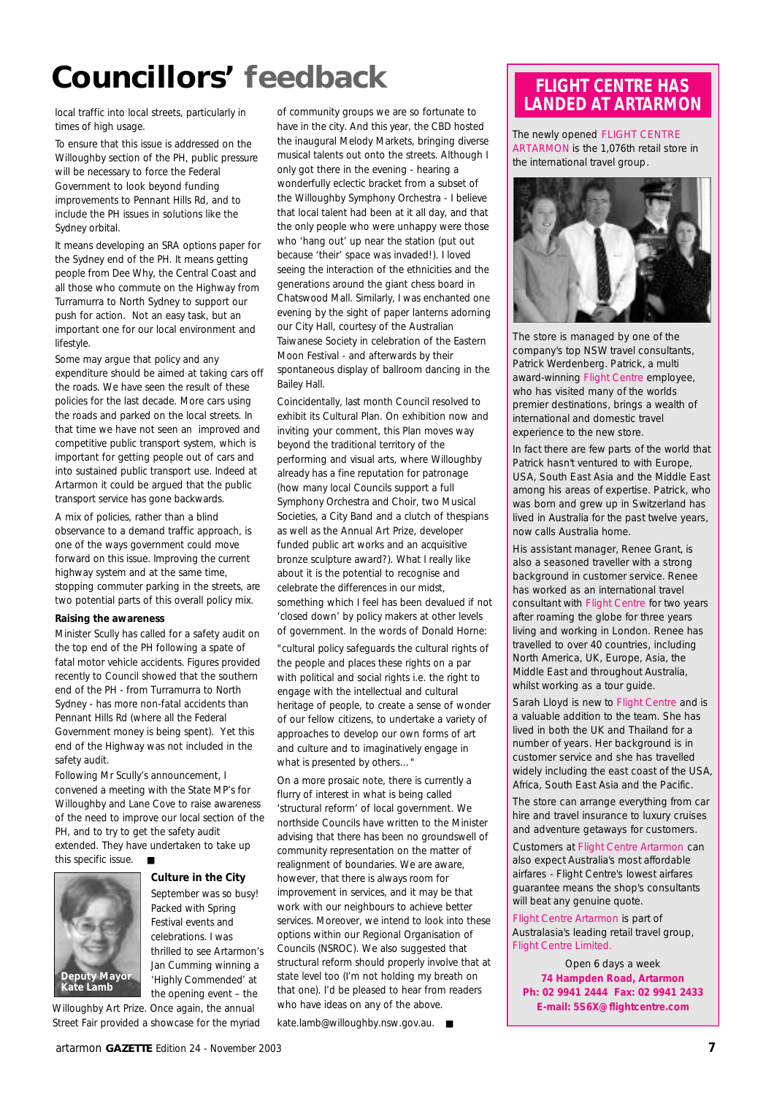### **Councillors' feedback** LOUNCITIONS' TEEQIDECK<br>local traffic into local streets, particularly in of community groups we are so fortunate to **LANDED AT ARTARMON**

times of high usage.

To ensure that this issue is addressed on the Willoughby section of the PH, public pressure will be necessary to force the Federal Government to look beyond funding improvements to Pennant Hills Rd, and to include the PH issues in solutions like the Sydney orbital.

It means developing an SRA options paper for the Sydney end of the PH. It means getting people from Dee Why, the Central Coast and all those who commute on the Highway from Turramurra to North Sydney to support our push for action. Not an easy task, but an important one for our local environment and lifestyle.

Some may argue that policy and any expenditure should be aimed at taking cars off the roads. We have seen the result of these policies for the last decade. More cars using the roads and parked on the local streets. In that time we have not seen an improved and competitive public transport system, which is important for getting people out of cars and into sustained public transport use. Indeed at Artarmon it could be argued that the public transport service has gone backwards.

A mix of policies, rather than a blind observance to a demand traffic approach, is one of the ways government could move forward on this issue. Improving the current highway system and at the same time, stopping commuter parking in the streets, are two potential parts of this overall policy mix.

#### **Raising the awareness**

Minister Scully has called for a safety audit on the top end of the PH following a spate of fatal motor vehicle accidents. Figures provided recently to Council showed that the southern end of the PH - from Turramurra to North Sydney - has more non-fatal accidents than Pennant Hills Rd (where all the Federal Government money is being spent). Yet this end of the Highway was not included in the safety audit.

Following Mr Scully's announcement, I convened a meeting with the State MP's for Willoughby and Lane Cove to raise awareness of the need to improve our local section of the PH, and to try to get the safety audit extended. They have undertaken to take up this specific issue. ■

> **Culture in the City** September was so busy! Packed with Spring Festival events and celebrations. I was

**Deputy Mayor Kate Lamb**

thrilled to see Artarmon's Jan Cumming winning a 'Highly Commended' at the opening event – the

Willoughby Art Prize. Once again, the annual Street Fair provided a showcase for the myriad

of community groups we are so fortunate to have in the city. And this year, the CBD hosted the inaugural Melody Markets, bringing diverse musical talents out onto the streets. Although I only got there in the evening - hearing a wonderfully eclectic bracket from a subset of the Willoughby Symphony Orchestra - I believe that local talent had been at it all day, and that the only people who were unhappy were those who 'hang out' up near the station (put out because 'their' space was invaded!). I loved seeing the interaction of the ethnicities and the generations around the giant chess board in Chatswood Mall. Similarly, I was enchanted one evening by the sight of paper lanterns adorning our City Hall, courtesy of the Australian Taiwanese Society in celebration of the Eastern Moon Festival - and afterwards by their spontaneous display of ballroom dancing in the Bailey Hall.

Coincidentally, last month Council resolved to exhibit its Cultural Plan. On exhibition now and inviting your comment, this Plan moves way beyond the traditional territory of the performing and visual arts, where Willoughby already has a fine reputation for patronage (how many local Councils support a full Symphony Orchestra and Choir, two Musical Societies, a City Band and a clutch of thespians as well as the Annual Art Prize, developer funded public art works and an acquisitive bronze sculpture award?). What I really like about it is the potential to recognise and celebrate the differences in our midst, something which I feel has been devalued if not 'closed down' by policy makers at other levels of government. In the words of Donald Horne:

*"cultural policy safeguards the cultural rights of the people and places these rights on a par with political and social rights i.e. the right to engage with the intellectual and cultural heritage of people, to create a sense of wonder of our fellow citizens, to undertake a variety of approaches to develop our own forms of art and culture and to imaginatively engage in what is presented by others…"*

On a more prosaic note, there is currently a flurry of interest in what is being called 'structural reform' of local government. We northside Councils have written to the Minister advising that there has been no groundswell of community representation on the matter of realignment of boundaries. We are aware, however, that there is always room for improvement in services, and it may be that work with our neighbours to achieve better services. Moreover, we intend to look into these options within our Regional Organisation of Councils (NSROC). We also suggested that structural reform should properly involve that at state level too (I'm not holding my breath on that one). I'd be pleased to hear from readers who have ideas on any of the above.

kate.lamb@willoughby.nsw.gov.au. ■

The newly opened FLIGHT CENTRE ARTARMON is the 1,076th retail store in the international travel group.



The store is managed by one of the company's top NSW travel consultants, Patrick Werdenberg. Patrick, a multi award-winning Flight Centre employee, who has visited many of the worlds premier destinations, brings a wealth of international and domestic travel experience to the new store.

In fact there are few parts of the world that Patrick hasn't ventured to with Europe, USA, South East Asia and the Middle East among his areas of expertise. Patrick, who was born and grew up in Switzerland has lived in Australia for the past twelve years, now calls Australia home.

His assistant manager, Renee Grant, is also a seasoned traveller with a strong background in customer service. Renee has worked as an international travel consultant with Flight Centre for two years after roaming the globe for three years living and working in London. Renee has travelled to over 40 countries, including North America, UK, Europe, Asia, the Middle East and throughout Australia, whilst working as a tour guide.

Sarah Lloyd is new to Flight Centre and is a valuable addition to the team. She has lived in both the UK and Thailand for a number of years. Her background is in customer service and she has travelled widely including the east coast of the USA, Africa, South East Asia and the Pacific.

The store can arrange everything from car hire and travel insurance to luxury cruises and adventure getaways for customers.

Customers at Flight Centre Artarmon can also expect Australia's most affordable airfares - Flight Centre's lowest airfares guarantee means the shop's consultants will beat any genuine quote.

Flight Centre Artarmon is part of Australasia's leading retail travel group, Flight Centre Limited.

Open 6 days a week **74 Hampden Road, Artarmon Ph: 02 9941 2444 Fax: 02 9941 2433 E-mail: 5S6X@flightcentre.com**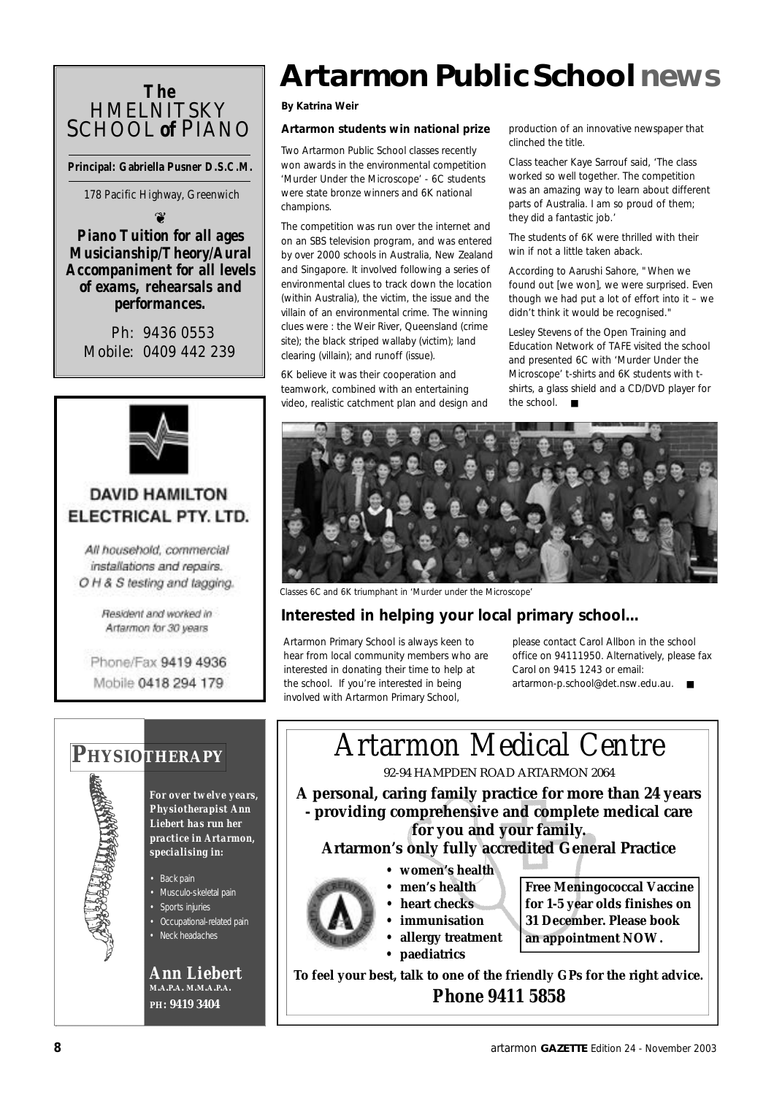### *The* **HMELNITSKY** SCHOOL *of* PIANO

**Principal: Gabriella Pusner D.S.C.M.**

178 Pacific Highway, Greenwich

 $\odot$ 

#### *Piano Tuition for all ages Musicianship/Theory/Aural Accompaniment for all levels of exams, rehearsals and performances.*

Ph: 9436 0553 Mobile: 0409 442 239



### **DAVID HAMILTON** ELECTRICAL PTY. LTD.

All household, commercial installations and repairs. O H & S testing and tagging.

> Resident and worked in Artarmon for 30 years

Phone/Fax 9419 4936 Mobile 0418 294 179



*For over twelve years, Physiotherapist Ann Liebert has run her practice in Artarmon, specialising in:*

• Back pain

- Musculo-skeletal pain
- Sports injuries • Occupational-related pain
- Neck headaches

*Ann Liebert* **M.A.P.A. M.M.A.P.A. P H: 9419 3404**

## **Artarmon Public Schoolnews**

**By Katrina Weir**

#### **Artarmon students win national prize**

Two Artarmon Public School classes recently won awards in the environmental competition 'Murder Under the Microscope' - 6C students were state bronze winners and 6K national champions.

The competition was run over the internet and on an SBS television program, and was entered by over 2000 schools in Australia, New Zealand and Singapore. It involved following a series of environmental clues to track down the location (within Australia), the victim, the issue and the villain of an environmental crime. The winning clues were : the Weir River, Queensland (crime site); the black striped wallaby (victim); land clearing (villain); and runoff (issue).

6K believe it was their cooperation and teamwork, combined with an entertaining video, realistic catchment plan and design and production of an innovative newspaper that clinched the title.

Class teacher Kaye Sarrouf said, 'The class worked so well together. The competition was an amazing way to learn about different parts of Australia. I am so proud of them; they did a fantastic job.'

The students of 6K were thrilled with their win if not a little taken aback.

According to Aarushi Sahore, "When we found out [we won], we were surprised. Even though we had put a lot of effort into it – we didn't think it would be recognised."

Lesley Stevens of the Open Training and Education Network of TAFE visited the school and presented 6C with 'Murder Under the Microscope' t-shirts and 6K students with tshirts, a glass shield and a CD/DVD player for the school.



*Classes 6C and 6K triumphant in 'Murder under the Microscope'*

### **Interested in helping your local primary school...**

Artarmon Primary School is always keen to hear from local community members who are interested in donating their time to help at the school. If you're interested in being involved with Artarmon Primary School,

please contact Carol Allbon in the school office on 94111950. Alternatively, please fax Carol on 9415 1243 or email: artarmon-p.school@det.nsw.edu.au. ■

**PHYSIOTHERAPY** | | **Artarmon Medical Centre** 92-94 HAMPDEN ROAD ARTARMON 2064 **A personal, caring family practice for more than 24 years - providing comprehensive and complete medical care for you and your family.**

#### **Artarmon's only fully accredited General Practice**

- **women's health**
- **men's health**
- **heart checks**
- **immunisation**
- **allergy treatment**
- **paediatrics**

**Free Meningococcal Vaccine for 1-5 year olds finishes on 31 December. Please book an appointment NOW.**

**To feel your best, talk to one of the friendly GPs for the right advice.** *Phone 9411 5858*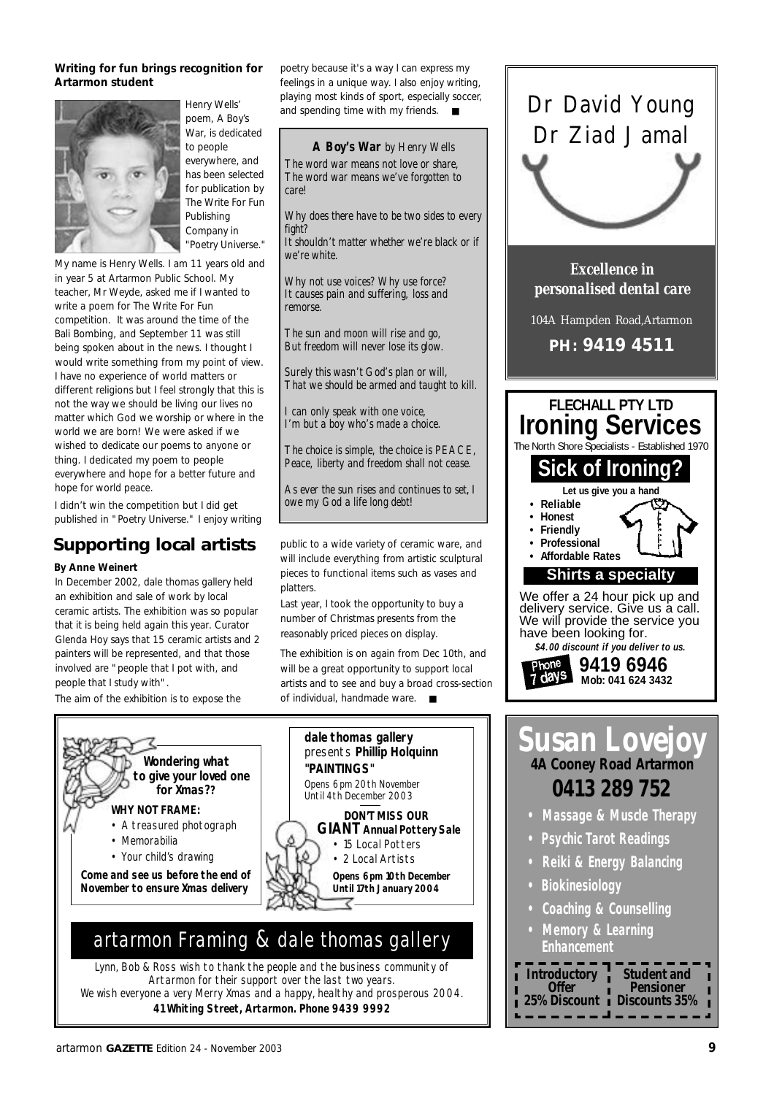#### **Writing for fun brings recognition for Artarmon student**



*Henry Wells' poem,* A Boy's War*, is dedicated to people everywhere, and has been selected for publication by The Write For Fun Publishing Company in "Poetry Universe."* 

My name is Henry Wells. I am 11 years old and in year 5 at Artarmon Public School. My teacher, Mr Weyde, asked me if I wanted to write a poem for The Write For Fun competition. It was around the time of the Bali Bombing, and September 11 was still being spoken about in the news. I thought I would write something from my point of view. I have no experience of world matters or different religions but I feel strongly that this is not the way we should be living our lives no matter which God we worship or where in the world we are born! We were asked if we wished to dedicate our poems to anyone or thing. I dedicated my poem to people everywhere and hope for a better future and hope for world peace.

I didn't win the competition but I did get published in "Poetry Universe." I enjoy writing

### **Supporting local artists**

#### **By Anne Weinert**

In December 2002, dale thomas gallery held an exhibition and sale of work by local ceramic artists. The exhibition was so popular that it is being held again this year. Curator Glenda Hoy says that 15 ceramic artists and 2 painters will be represented, and that those involved are "people that I pot with, and people that I study with".

The aim of the exhibition is to expose the

poetry because it's a way I can express my feelings in a unique way. I also enjoy writing, playing most kinds of sport, especially soccer, and spending time with my friends. ■

*A Boy's War by Henry Wells The word war means not love or share, The word war means we've forgotten to care!*

*Why does there have to be two sides to every fight?*

*It shouldn't matter whether we're black or if we're white.*

*Why not use voices? Why use force? It causes pain and suffering, loss and remorse.*

*The sun and moon will rise and go, But freedom will never lose its glow.*

*Surely this wasn't God's plan or will, That we should be armed and taught to kill.*

*I can only speak with one voice, I'm but a boy who's made a choice.*

*The choice is simple, the choice is PEACE, Peace, liberty and freedom shall not cease.*

*As ever the sun rises and continues to set,I owe my God a life long debt!*

public to a wide variety of ceramic ware, and will include everything from artistic sculptural pieces to functional items such as vases and platters.

Last year, I took the opportunity to buy a number of Christmas presents from the reasonably priced pieces on display.

The exhibition is on again from Dec 10th, and will be a great opportunity to support local artists and to see and buy a broad cross-section of individual, handmade ware. ■



Lynn, Bob & Ross wish to thank the people and the business community of Artarmon for their support over the last two years. We wish everyone a very Merry Xmas and a happy, healthy and prosperous 2004. **41 Whiting Street, Artarmon. Phone 9439 9992**



Dr David Young

**Susan Lovejoy 4A Cooney Road Artarmon 0413 289 752 • Massage & Muscle Therapy**

- **Psychic Tarot Readings**
- **Reiki & Energy Balancing**
- **Biokinesiology**
- **Coaching & Counselling**
- **Memory & Learning Enhancement**

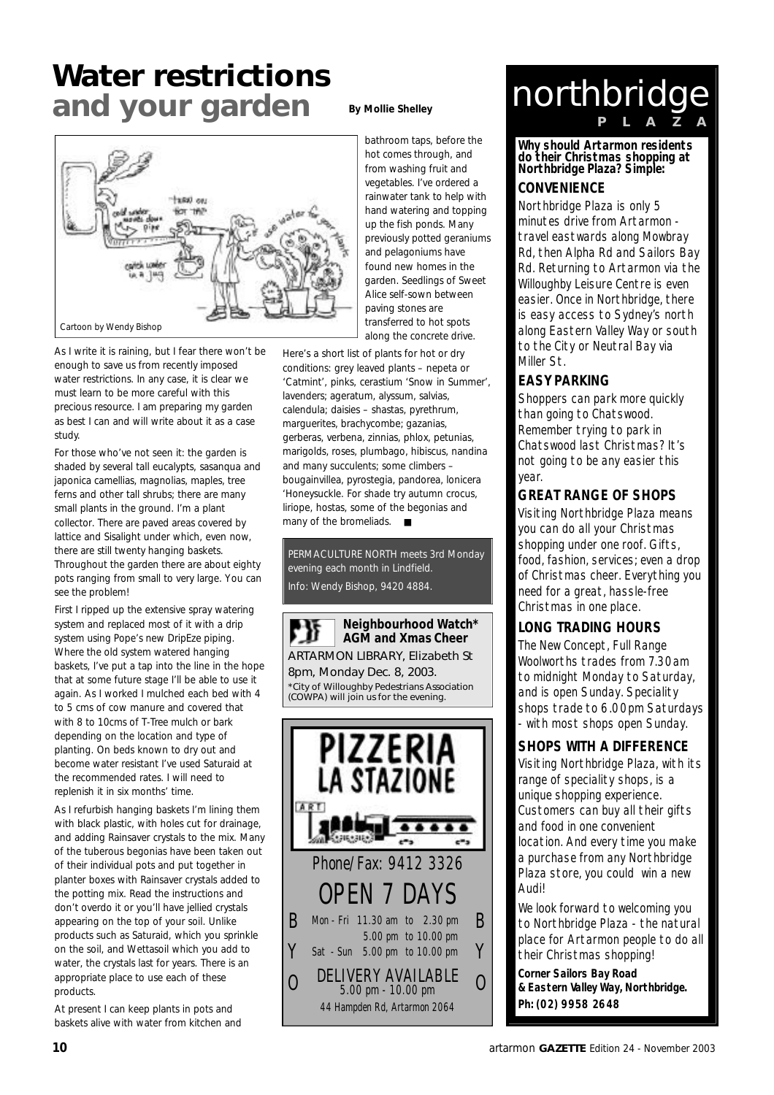### **Water restrictions and your garden**



As I write it is raining, but I fear there won't be enough to save us from recently imposed water restrictions. In any case, it is clear we must learn to be more careful with this precious resource. I am preparing my garden as best I can and will write about it as a case study.

For those who've not seen it: the garden is shaded by several tall eucalypts, sasanqua and japonica camellias, magnolias, maples, tree ferns and other tall shrubs; there are many small plants in the ground. I'm a plant collector. There are paved areas covered by lattice and Sisalight under which, even now, there are still twenty hanging baskets. Throughout the garden there are about eighty pots ranging from small to very large. You can see the problem!

First I ripped up the extensive spray watering system and replaced most of it with a drip system using Pope's new DripEze piping. Where the old system watered hanging baskets, I've put a tap into the line in the hope that at some future stage I'll be able to use it again. As I worked I mulched each bed with 4 to 5 cms of cow manure and covered that with 8 to 10cms of T-Tree mulch or bark depending on the location and type of planting. On beds known to dry out and become water resistant I've used Saturaid at the recommended rates. I will need to replenish it in six months' time.

As I refurbish hanging baskets I'm lining them with black plastic, with holes cut for drainage, and adding Rainsaver crystals to the mix. Many of the tuberous begonias have been taken out of their individual pots and put together in planter boxes with Rainsaver crystals added to the potting mix. Read the instructions and don't overdo it or you'll have jellied crystals appearing on the top of your soil. Unlike products such as Saturaid, which you sprinkle on the soil, and Wettasoil which you add to water, the crystals last for years. There is an appropriate place to use each of these products.

At present I can keep plants in pots and baskets alive with water from kitchen and

#### **By Mollie Shelley**

bathroom taps, before the hot comes through, and from washing fruit and vegetables. I've ordered a rainwater tank to help with hand watering and topping up the fish ponds. Many previously potted geraniums and pelagoniums have found new homes in the garden. Seedlings of Sweet Alice self-sown between paving stones are transferred to hot spots along the concrete drive.

Here's a short list of plants for hot or dry conditions: grey leaved plants – nepeta or 'Catmint', pinks, cerastium 'Snow in Summer', lavenders; ageratum, alyssum, salvias, calendula; daisies – shastas, pyrethrum, marguerites, brachycombe; gazanias, gerberas, verbena, zinnias, phlox, petunias, marigolds, roses, plumbago, hibiscus, nandina and many succulents; some climbers – bougainvillea, pyrostegia, pandorea, lonicera 'Honeysuckle. For shade try autumn crocus, liriope, hostas, some of the begonias and many of the bromeliads. ■

PERMACULTURE NORTH meets 3rd Monday evening each month in Lindfield. Info: Wendy Bishop, 9420 4884.



### northbridge **P L A Z A**

**Why should Artarmon residents do their Christmas shopping at Northbridge Plaza? Simple:**

#### **CONVENIENCE**

Northbridge Plaza is only 5 minutes drive from Artarmon travel eastwards along Mowbray Rd, then Alpha Rd and Sailors Bay Rd. Returning to Artarmon via the Willoughby Leisure Centre is even easier. Once in Northbridge, there is easy access to Sydney's north along Eastern Valley Way or south to the City or Neutral Bay via Miller St.

#### **EASY PARKING**

Shoppers can park more quickly than going to Chatswood. Remember trying to park in Chatswood last Christmas? It's not going to be any easier this year.

#### **GREAT RANGE OF SHOPS**

Visiting Northbridge Plaza means you can do all your Christmas shopping under one roof. Gifts, food, fashion, services; even a drop of Christmas cheer. Everything you need for a great, hassle-free Christmas in one place.

#### **LONG TRADING HOURS**

The New Concept, Full Range Woolworths trades from 7.30am to midnight Monday to Saturday, and is open Sunday. Speciality shops trade to 6.00pm Saturdays - with most shops open Sunday.

#### **SHOPS WITH A DIFFERENCE**

Visiting Northbridge Plaza, with its range of speciality shops, is a unique shopping experience. Customers can buy all their gifts and food in one convenient location. And every time you make a purchase from any Northbridge Plaza store, you could win a new Audi!

We look forward to welcoming you to Northbridge Plaza - the natural place for Artarmon people to do all their Christmas shopping!

**Corner Sailors Bay Road & Eastern Valley Way, Northbridge. Ph: (02) 9958 2648**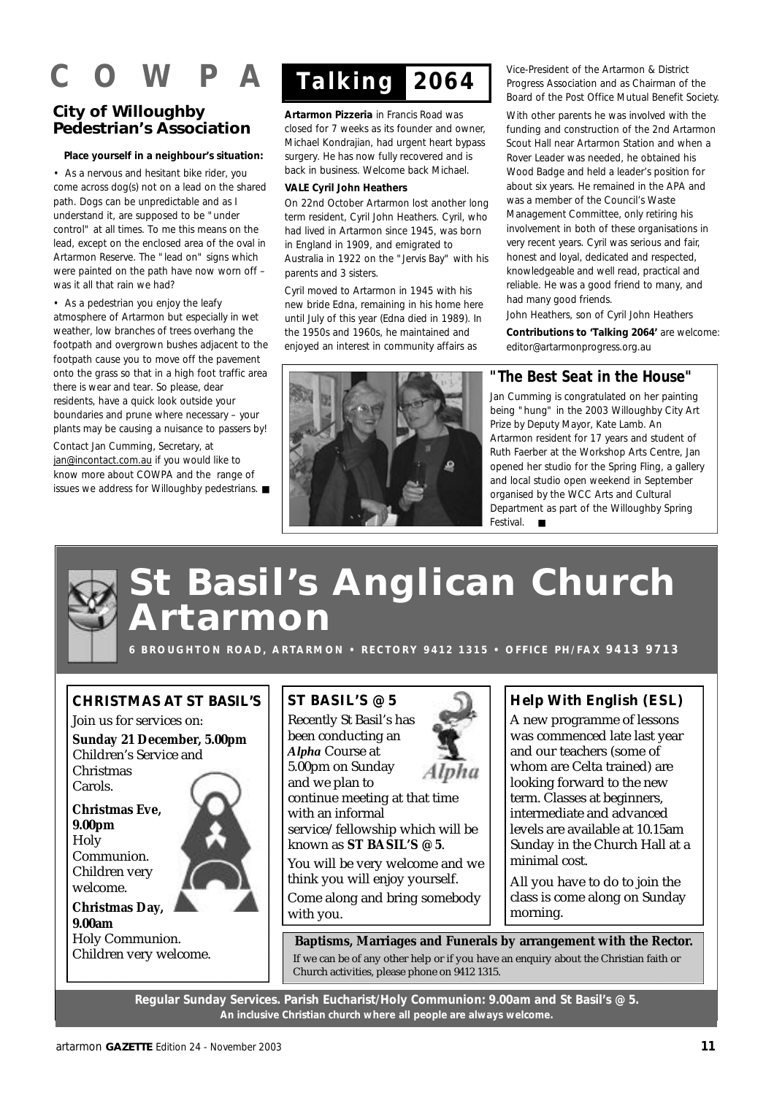## $\mathbf{A}$

#### **City of Willoughby Pedestrian's Association**

#### **Place yourself in a neighbour's situation:**

• As a nervous and hesitant bike rider, you come across dog(s) not on a lead on the shared path. Dogs can be unpredictable and as I understand it, are supposed to be "under control" at all times. To me this means on the lead, except on the enclosed area of the oval in Artarmon Reserve. The "lead on" signs which were painted on the path have now worn off – was it all that rain we had?

• As a pedestrian you enjoy the leafy atmosphere of Artarmon but especially in wet weather, low branches of trees overhang the footpath and overgrown bushes adjacent to the footpath cause you to move off the pavement onto the grass so that in a high foot traffic area there is wear and tear. So please, dear residents, have a quick look outside your boundaries and prune where necessary – your plants may be causing a nuisance to passers by!

Contact Jan Cumming, Secretary, at jan@incontact.com.au if you would like to know more about COWPA and the range of issues we address for Willoughby pedestrians. ■



**Artarmon Pizzeria** in Francis Road was closed for 7 weeks as its founder and owner, Michael Kondrajian, had urgent heart bypass surgery. He has now fully recovered and is back in business. Welcome back Michael.

#### **VALE Cyril John Heathers**

On 22nd October Artarmon lost another long term resident, Cyril John Heathers. Cyril, who had lived in Artarmon since 1945, was born in England in 1909, and emigrated to Australia in 1922 on the "Jervis Bay" with his parents and 3 sisters.

Cyril moved to Artarmon in 1945 with his new bride Edna, remaining in his home here until July of this year (Edna died in 1989). In the 1950s and 1960s, he maintained and enjoyed an interest in community affairs as

Vice-President of the Artarmon & District Progress Association and as Chairman of the Board of the Post Office Mutual Benefit Society.

With other parents he was involved with the funding and construction of the 2nd Artarmon Scout Hall near Artarmon Station and when a Rover Leader was needed, he obtained his Wood Badge and held a leader's position for about six years. He remained in the APA and was a member of the Council's Waste Management Committee, only retiring his involvement in both of these organisations in very recent years. Cyril was serious and fair, honest and loyal, dedicated and respected, knowledgeable and well read, practical and reliable. He was a good friend to many, and had many good friends.

*John Heathers, son of Cyril John Heathers*

**Contributions to 'Talking 2064'** are welcome: editor@artarmonprogress.org.au

#### **"The Best Seat in the House"**

Jan Cumming is congratulated on her painting being "hung" in the 2003 Willoughby City Art Prize by Deputy Mayor, Kate Lamb. An Artarmon resident for 17 years and student of Ruth Faerber at the Workshop Arts Centre, Jan opened her studio for the Spring Fling, a gallery and local studio open weekend in September organised by the WCC Arts and Cultural Department as part of the Willoughby Spring Festival. ■

## **St Basil's Anglican Church A r t a r m o n**

**6 B R O UG H T O N R O A D , A R TA R M O N • R E C T O R Y 9 4 1 2 1 3 1 5 • O F F I C E P H / FA X 9 4 1 3 9 7 1 3**

#### **CHRISTMAS AT ST BASIL'S**

Join us for services on: **Sunday 21 December, 5.00pm** Children's Service and Christmas Carols.

**Christmas Eve, 9.00pm Holy** Communion. Children very welcome.

#### **Christmas Day, 9.00am** Holy Communion.

Children very welcome.

#### **ST BASIL'S @ 5**

Recently St Basil's has been conducting an *Alpha* Course at 5.00pm on Sunday and we plan to continue meeting at that time with an informal service/fellowship which will be known as **ST BASIL'S @ 5**.

You will be very welcome and we think you will enjoy yourself. Come along and bring somebody

with you.

#### **Help With English (ESL)**

A new programme of lessons was commenced late last year and our teachers (some of whom are Celta trained) are looking forward to the new term. Classes at beginners, intermediate and advanced levels are available at 10.15am Sunday in the Church Hall at a minimal cost.

All you have to do to join the class is come along on Sunday morning.

**Baptisms, Marriages and Funerals by arrangement with the Rector.** If we can be of any other help or if you have an enquiry about the Christian faith or Church activities, please phone on 9412 1315.

**Regular Sunday Services. Parish Eucharist/Holy Communion: 9.00am and St Basil's @ 5. An inclusive Christian church where all people are always welcome.**